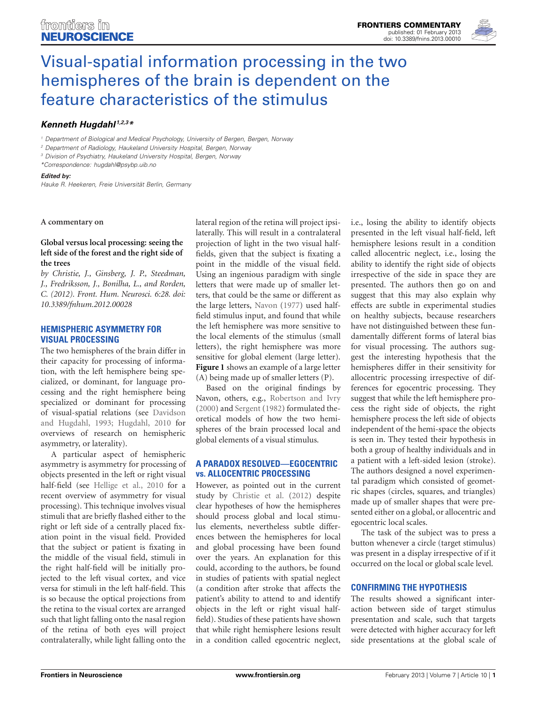

# [Visual-spatial information processing in the two](http://www.frontiersin.org/Neuroscience/10.3389/fnins.2013.00010/full) hemispheres of the brain is dependent on the feature characteristics of the stimulus

# *[Kenneth Hugdahl](http://www.frontiersin.org/Community/WhosWhoActivity.aspx?sname=KennethHugdahl&UID=423) 1,2,3\**

*<sup>1</sup> Department of Biological and Medical Psychology, University of Bergen, Bergen, Norway*

*<sup>2</sup> Department of Radiology, Haukeland University Hospital, Bergen, Norway*

*<sup>3</sup> Division of Psychiatry, Haukeland University Hospital, Bergen, Norway*

*\*Correspondence: hugdahl@psybp.uib.no*

#### *Edited by:*

*Hauke R. Heekeren, Freie Universität Berlin, Germany*

#### **A commentary on**

## **[Global versus local processing: seeing the](http://www.frontiersin.org/Human_Neuroscience/10.3389/fnhum.2012.00028/abstract) [left side of the forest and the right side of](http://www.frontiersin.org/Human_Neuroscience/10.3389/fnhum.2012.00028/abstract) [the trees](http://www.frontiersin.org/Human_Neuroscience/10.3389/fnhum.2012.00028/abstract)**

*by Christie, J., Ginsberg, J. P., Steedman, J., Fredriksson, J., Bonilha, L., and Rorden, C. (2012). Front. Hum. Neurosci. 6:28. doi: 10.3389/fnhum.2012.00028*

#### **HEMISPHERIC ASYMMETRY FOR VISUAL PROCESSING**

The two hemispheres of the brain differ in their capacity for processing of information, with the left hemisphere being specialized, or dominant, for language processing and the right hemisphere being specialized or dominant for processing of visual-spa[tial relations \(see](#page-1-0) Davidson and Hugdahl, [1993](#page-1-0); [Hugdahl](#page-1-1), [2010](#page-1-1) for overviews of research on hemispheric asymmetry, or laterality).

A particular aspect of hemispheric asymmetry is asymmetry for processing of objects presented in the left or right visual half-field (see [Hellige et al.](#page-1-2), [2010](#page-1-2) for a recent overview of asymmetry for visual processing). This technique involves visual stimuli that are briefly flashed either to the right or left side of a centrally placed fixation point in the visual field. Provided that the subject or patient is fixating in the middle of the visual field, stimuli in the right half-field will be initially projected to the left visual cortex, and vice versa for stimuli in the left half-field. This is so because the optical projections from the retina to the visual cortex are arranged such that light falling onto the nasal region of the retina of both eyes will project contralaterally, while light falling onto the

lateral region of the retina will project ipsilaterally. This will result in a contralateral projection of light in the two visual halffields, given that the subject is fixating a point in the middle of the visual field. Using an ingenious paradigm with single letters that were made up of smaller letters, that could be the same or different as the large letters, [Navon](#page-1-3) [\(1977](#page-1-3)) used halffield stimulus input, and found that while the left hemisphere was more sensitive to the local elements of the stimulus (small letters), the right hemisphere was more sensitive for global element (large letter). **[Figure 1](#page-1-4)** shows an example of a large letter (A) being made up of smaller letters (P).

Based on the original findings by Navon, others, e.g., [Robertson and Ivry](#page-1-5) [\(2000\)](#page-1-5) and [Sergent](#page-1-6) [\(1982\)](#page-1-6) formulated theoretical models of how the two hemispheres of the brain processed local and global elements of a visual stimulus.

## **A PARADOX RESOLVED—EGOCENTRIC vs. ALLOCENTRIC PROCESSING**

However, as pointed out in the current study by [Christie et al.](#page-1-7) [\(2012](#page-1-7)) despite clear hypotheses of how the hemispheres should process global and local stimulus elements, nevertheless subtle differences between the hemispheres for local and global processing have been found over the years. An explanation for this could, according to the authors, be found in studies of patients with spatial neglect (a condition after stroke that affects the patient's ability to attend to and identify objects in the left or right visual halffield). Studies of these patients have shown that while right hemisphere lesions result in a condition called egocentric neglect,

i.e., losing the ability to identify objects presented in the left visual half-field, left hemisphere lesions result in a condition called allocentric neglect, i.e., losing the ability to identify the right side of objects irrespective of the side in space they are presented. The authors then go on and suggest that this may also explain why effects are subtle in experimental studies on healthy subjects, because researchers have not distinguished between these fundamentally different forms of lateral bias for visual processing. The authors suggest the interesting hypothesis that the hemispheres differ in their sensitivity for allocentric processing irrespective of differences for egocentric processing. They suggest that while the left hemisphere process the right side of objects, the right hemisphere process the left side of objects independent of the hemi-space the objects is seen in. They tested their hypothesis in both a group of healthy individuals and in a patient with a left-sided lesion (stroke). The authors designed a novel experimental paradigm which consisted of geometric shapes (circles, squares, and triangles) made up of smaller shapes that were presented either on a global, or allocentric and egocentric local scales.

The task of the subject was to press a button whenever a circle (target stimulus) was present in a display irrespective of if it occurred on the local or global scale level.

# **CONFIRMING THE HYPOTHESIS**

The results showed a significant interaction between side of target stimulus presentation and scale, such that targets were detected with higher accuracy for left side presentations at the global scale of